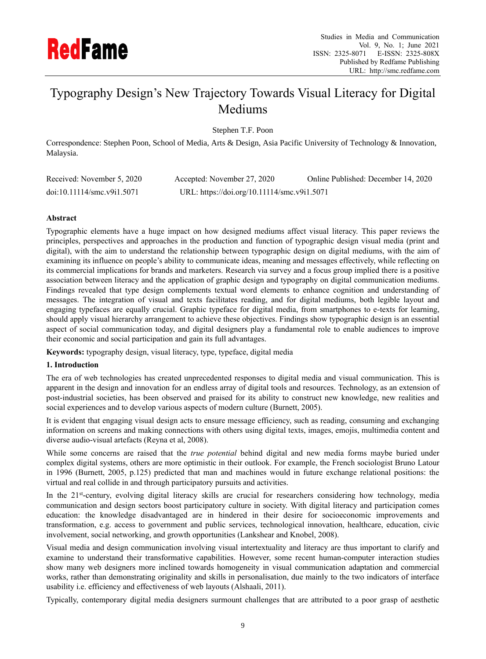

# Typography Design's New Trajectory Towards Visual Literacy for Digital Mediums

Stephen T.F. Poon

Correspondence: Stephen Poon, School of Media, Arts & Design, Asia Pacific University of Technology & Innovation, Malaysia.

| Received: November 5, 2020 | Accepted: November 27, 2020                 | Online Published: December 14, 2020 |  |  |  |  |
|----------------------------|---------------------------------------------|-------------------------------------|--|--|--|--|
| doi:10.11114/smc.v9i1.5071 | URL: https://doi.org/10.11114/smc.v9i1.5071 |                                     |  |  |  |  |

## **Abstract**

Typographic elements have a huge impact on how designed mediums affect visual literacy. This paper reviews the principles, perspectives and approaches in the production and function of typographic design visual media (print and digital), with the aim to understand the relationship between typographic design on digital mediums, with the aim of examining its influence on people's ability to communicate ideas, meaning and messages effectively, while reflecting on its commercial implications for brands and marketers. Research via survey and a focus group implied there is a positive association between literacy and the application of graphic design and typography on digital communication mediums. Findings revealed that type design complements textual word elements to enhance cognition and understanding of messages. The integration of visual and texts facilitates reading, and for digital mediums, both legible layout and engaging typefaces are equally crucial. Graphic typeface for digital media, from smartphones to e-texts for learning, should apply visual hierarchy arrangement to achieve these objectives. Findings show typographic design is an essential aspect of social communication today, and digital designers play a fundamental role to enable audiences to improve their economic and social participation and gain its full advantages.

**Keywords:** typography design, visual literacy, type, typeface, digital media

## **1. Introduction**

The era of web technologies has created unprecedented responses to digital media and visual communication. This is apparent in the design and innovation for an endless array of digital tools and resources. Technology, as an extension of post-industrial societies, has been observed and praised for its ability to construct new knowledge, new realities and social experiences and to develop various aspects of modern culture (Burnett, 2005).

It is evident that engaging visual design acts to ensure message efficiency, such as reading, consuming and exchanging information on screens and making connections with others using digital texts, images, emojis, multimedia content and diverse audio-visual artefacts (Reyna et al, 2008).

While some concerns are raised that the *true potential* behind digital and new media forms maybe buried under complex digital systems, others are more optimistic in their outlook. For example, the French sociologist Bruno Latour in 1996 (Burnett, 2005, p.125) predicted that man and machines would in future exchange relational positions: the virtual and real collide in and through participatory pursuits and activities.

In the 21<sup>st</sup>-century, evolving digital literacy skills are crucial for researchers considering how technology, media communication and design sectors boost participatory culture in society. With digital literacy and participation comes education: the knowledge disadvantaged are in hindered in their desire for socioeconomic improvements and transformation, e.g. access to government and public services, technological innovation, healthcare, education, civic involvement, social networking, and growth opportunities (Lankshear and Knobel, 2008).

Visual media and design communication involving visual intertextuality and literacy are thus important to clarify and examine to understand their transformative capabilities. However, some recent human-computer interaction studies show many web designers more inclined towards homogeneity in visual communication adaptation and commercial works, rather than demonstrating originality and skills in personalisation, due mainly to the two indicators of interface usability i.e. efficiency and effectiveness of web layouts (Alshaali, 2011).

Typically, contemporary digital media designers surmount challenges that are attributed to a poor grasp of aesthetic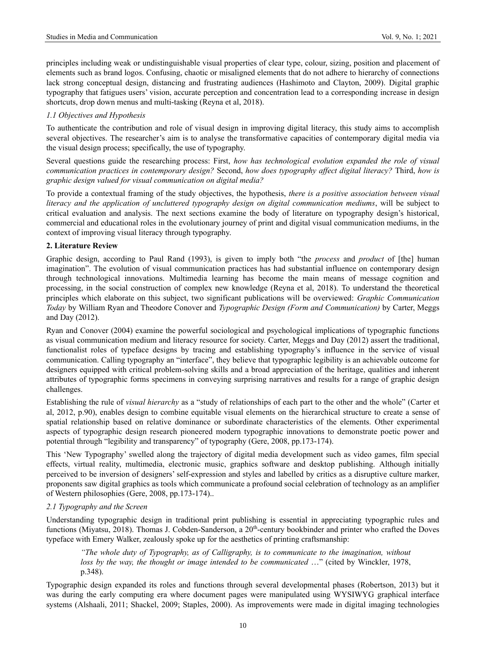principles including weak or undistinguishable visual properties of clear type, colour, sizing, position and placement of elements such as brand logos. Confusing, chaotic or misaligned elements that do not adhere to hierarchy of connections lack strong conceptual design, distancing and frustrating audiences (Hashimoto and Clayton, 2009). Digital graphic typography that fatigues users' vision, accurate perception and concentration lead to a corresponding increase in design shortcuts, drop down menus and multi-tasking (Reyna et al, 2018).

## *1.1 Objectives and Hypothesis*

To authenticate the contribution and role of visual design in improving digital literacy, this study aims to accomplish several objectives. The researcher's aim is to analyse the transformative capacities of contemporary digital media via the visual design process; specifically, the use of typography.

Several questions guide the researching process: First, *how has technological evolution expanded the role of visual communication practices in contemporary design?* Second, *how does typography affect digital literacy?* Third, *how is graphic design valued for visual communication on digital media?*

To provide a contextual framing of the study objectives, the hypothesis, *there is a positive association between visual literacy and the application of uncluttered typography design on digital communication mediums*, will be subject to critical evaluation and analysis. The next sections examine the body of literature on typography design's historical, commercial and educational roles in the evolutionary journey of print and digital visual communication mediums, in the context of improving visual literacy through typography.

#### **2. Literature Review**

Graphic design, according to Paul Rand (1993), is given to imply both "the *process* and *product* of [the] human imagination". The evolution of visual communication practices has had substantial influence on contemporary design through technological innovations. Multimedia learning has become the main means of message cognition and processing, in the social construction of complex new knowledge (Reyna et al, 2018). To understand the theoretical principles which elaborate on this subject, two significant publications will be overviewed: *Graphic Communication Today* by William Ryan and Theodore Conover and *Typographic Design (Form and Communication)* by Carter, Meggs and Day (2012).

Ryan and Conover (2004) examine the powerful sociological and psychological implications of typographic functions as visual communication medium and literacy resource for society. Carter, Meggs and Day (2012) assert the traditional, functionalist roles of typeface designs by tracing and establishing typography's influence in the service of visual communication. Calling typography an "interface", they believe that typographic legibility is an achievable outcome for designers equipped with critical problem-solving skills and a broad appreciation of the heritage, qualities and inherent attributes of typographic forms specimens in conveying surprising narratives and results for a range of graphic design challenges.

Establishing the rule of *visual hierarchy* as a "study of relationships of each part to the other and the whole" (Carter et al, 2012, p.90), enables design to combine equitable visual elements on the hierarchical structure to create a sense of spatial relationship based on relative dominance or subordinate characteristics of the elements. Other experimental aspects of typographic design research pioneered modern typographic innovations to demonstrate poetic power and potential through "legibility and transparency" of typography (Gere, 2008, pp.173-174).

This 'New Typography' swelled along the trajectory of digital media development such as video games, film special effects, virtual reality, multimedia, electronic music, graphics software and desktop publishing. Although initially perceived to be inversion of designers' self-expression and styles and labelled by critics as a disruptive culture marker, proponents saw digital graphics as tools which communicate a profound social celebration of technology as an amplifier of Western philosophies (Gere, 2008, pp.173-174)..

## *2.1 Typography and the Screen*

Understanding typographic design in traditional print publishing is essential in appreciating typographic rules and functions (Miyatsu, 2018). Thomas J. Cobden-Sanderson, a 20<sup>th</sup>-century bookbinder and printer who crafted the Doves typeface with Emery Walker, zealously spoke up for the aesthetics of printing craftsmanship:

*"The whole duty of Typography, as of Calligraphy, is to communicate to the imagination, without loss by the way, the thought or image intended to be communicated* …" (cited by Winckler, 1978, p.348).

Typographic design expanded its roles and functions through several developmental phases (Robertson, 2013) but it was during the early computing era where document pages were manipulated using WYSIWYG graphical interface systems (Alshaali, 2011; Shackel, 2009; Staples, 2000). As improvements were made in digital imaging technologies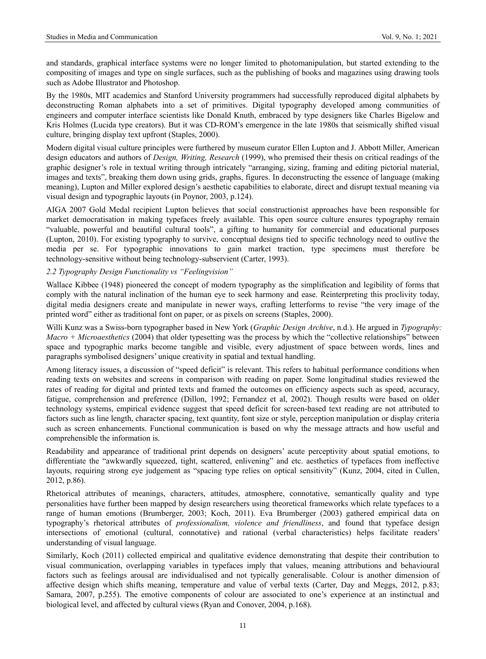and standards, graphical interface systems were no longer limited to photomanipulation, but started extending to the compositing of images and type on single surfaces, such as the publishing of books and magazines using drawing tools such as Adobe Illustrator and Photoshop.

By the 1980s, MIT academics and Stanford University programmers had successfully reproduced digital alphabets by deconstructing Roman alphabets into a set of primitives. Digital typography developed among communities of engineers and computer interface scientists like Donald Knuth, embraced by type designers like Charles Bigelow and Kris Holmes (Lucida type creators). But it was CD-ROM's emergence in the late 1980s that seismically shifted visual culture, bringing display text upfront (Staples, 2000).

Modern digital visual culture principles were furthered by museum curator Ellen Lupton and J. Abbott Miller, American design educators and authors of *Design, Writing, Research* (1999), who premised their thesis on critical readings of the graphic designer's role in textual writing through intricately "arranging, sizing, framing and editing pictorial material, images and texts", breaking them down using grids, graphs, figures. In deconstructing the essence of language (making meaning), Lupton and Miller explored design's aesthetic capabilities to elaborate, direct and disrupt textual meaning via visual design and typographic layouts (in Poynor, 2003, p.124).

AIGA 2007 Gold Medal recipient Lupton believes that social constructionist approaches have been responsible for market democratisation in making typefaces freely available. This open source culture ensures typography remain "valuable, powerful and beautiful cultural tools", a gifting to humanity for commercial and educational purposes (Lupton, 2010). For existing typography to survive, conceptual designs tied to specific technology need to outlive the media per se. For typographic innovations to gain market traction, type specimens must therefore be technology-sensitive without being technology-subservient (Carter, 1993).

## *2.2 Typography Design Functionality vs "Feelingvision"*

Wallace Kibbee (1948) pioneered the concept of modern typography as the simplification and legibility of forms that comply with the natural inclination of the human eye to seek harmony and ease. Reinterpreting this proclivity today, digital media designers create and manipulate in newer ways, crafting letterforms to revise "the very image of the printed word" either as traditional font on paper, or as pixels on screens (Staples, 2000).

Willi Kunz was a Swiss-born typographer based in New York (*Graphic Design Archive*, n.d.). He argued in *Typography: Macro + Microaesthetics* (2004) that older typesetting was the process by which the "collective relationships" between space and typographic marks become tangible and visible, every adjustment of space between words, lines and paragraphs symbolised designers' unique creativity in spatial and textual handling.

Among literacy issues, a discussion of "speed deficit" is relevant. This refers to habitual performance conditions when reading texts on websites and screens in comparison with reading on paper. Some longitudinal studies reviewed the rates of reading for digital and printed texts and framed the outcomes on efficiency aspects such as speed, accuracy, fatigue, comprehension and preference (Dillon, 1992; Fernandez et al, 2002). Though results were based on older technology systems, empirical evidence suggest that speed deficit for screen-based text reading are not attributed to factors such as line length, character spacing, text quantity, font size or style, perception manipulation or display criteria such as screen enhancements. Functional communication is based on why the message attracts and how useful and comprehensible the information is.

Readability and appearance of traditional print depends on designers' acute perceptivity about spatial emotions, to differentiate the "awkwardly squeezed, tight, scattered, enlivening" and etc. aesthetics of typefaces from ineffective layouts, requiring strong eye judgement as "spacing type relies on optical sensitivity" (Kunz, 2004, cited in Cullen, 2012, p.86).

Rhetorical attributes of meanings, characters, attitudes, atmosphere, connotative, semantically quality and type personalities have further been mapped by design researchers using theoretical frameworks which relate typefaces to a range of human emotions (Brumberger, 2003; Koch, 2011). Eva Brumberger (2003) gathered empirical data on typography's rhetorical attributes of *professionalism, violence and friendliness*, and found that typeface design intersections of emotional (cultural, connotative) and rational (verbal characteristics) helps facilitate readers' understanding of visual language.

Similarly, Koch (2011) collected empirical and qualitative evidence demonstrating that despite their contribution to visual communication, overlapping variables in typefaces imply that values, meaning attributions and behavioural factors such as feelings arousal are individualised and not typically generalisable. Colour is another dimension of affective design which shifts meaning, temperature and value of verbal texts (Carter, Day and Meggs, 2012, p.83; Samara, 2007, p.255). The emotive components of colour are associated to one's experience at an instinctual and biological level, and affected by cultural views (Ryan and Conover, 2004, p.168).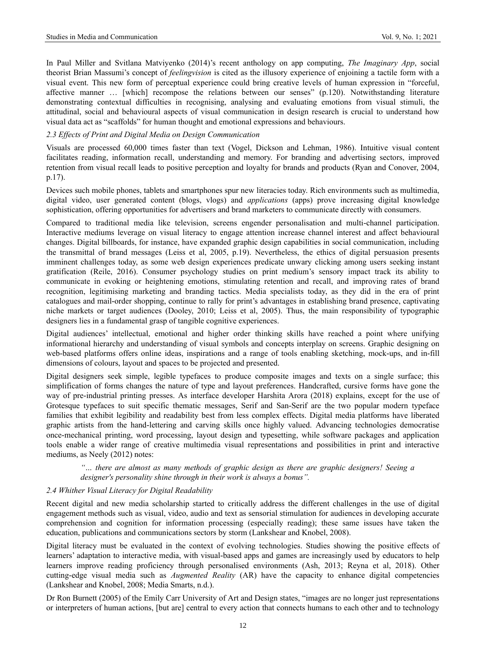In Paul Miller and Svitlana Matviyenko (2014)'s recent anthology on app computing, *The Imaginary App*, social theorist Brian Massumi's concept of *feelingvision* is cited as the illusory experience of enjoining a tactile form with a visual event. This new form of perceptual experience could bring creative levels of human expression in "forceful, affective manner … [which] recompose the relations between our senses" (p.120). Notwithstanding literature demonstrating contextual difficulties in recognising, analysing and evaluating emotions from visual stimuli, the attitudinal, social and behavioural aspects of visual communication in design research is crucial to understand how visual data act as "scaffolds" for human thought and emotional expressions and behaviours.

#### *2.3 Effects of Print and Digital Media on Design Communication*

Visuals are processed 60,000 times faster than text (Vogel, Dickson and Lehman, 1986). Intuitive visual content facilitates reading, information recall, understanding and memory. For branding and advertising sectors, improved retention from visual recall leads to positive perception and loyalty for brands and products (Ryan and Conover, 2004, p.17).

Devices such mobile phones, tablets and smartphones spur new literacies today. Rich environments such as multimedia, digital video, user generated content (blogs, vlogs) and *applications* (apps) prove increasing digital knowledge sophistication, offering opportunities for advertisers and brand marketers to communicate directly with consumers.

Compared to traditional media like television, screens engender personalisation and multi-channel participation. Interactive mediums leverage on visual literacy to engage attention increase channel interest and affect behavioural changes. Digital billboards, for instance, have expanded graphic design capabilities in social communication, including the transmittal of brand messages (Leiss et al, 2005, p.19). Nevertheless, the ethics of digital persuasion presents imminent challenges today, as some web design experiences predicate unwary clicking among users seeking instant gratification (Reile, 2016). Consumer psychology studies on print medium's sensory impact track its ability to communicate in evoking or heightening emotions, stimulating retention and recall, and improving rates of brand recognition, legitimising marketing and branding tactics. Media specialists today, as they did in the era of print catalogues and mail-order shopping, continue to rally for print's advantages in establishing brand presence, captivating niche markets or target audiences (Dooley, 2010; Leiss et al, 2005). Thus, the main responsibility of typographic designers lies in a fundamental grasp of tangible cognitive experiences.

Digital audiences' intellectual, emotional and higher order thinking skills have reached a point where unifying informational hierarchy and understanding of visual symbols and concepts interplay on screens. Graphic designing on web-based platforms offers online ideas, inspirations and a range of tools enabling sketching, mock-ups, and in-fill dimensions of colours, layout and spaces to be projected and presented.

Digital designers seek simple, legible typefaces to produce composite images and texts on a single surface; this simplification of forms changes the nature of type and layout preferences. Handcrafted, cursive forms have gone the way of pre-industrial printing presses. As interface developer Harshita Arora (2018) explains, except for the use of Grotesque typefaces to suit specific thematic messages, Serif and San-Serif are the two popular modern typeface families that exhibit legibility and readability best from less complex effects. Digital media platforms have liberated graphic artists from the hand-lettering and carving skills once highly valued. Advancing technologies democratise once-mechanical printing, word processing, layout design and typesetting, while software packages and application tools enable a wider range of creative multimedia visual representations and possibilities in print and interactive mediums, as Neely (2012) notes:

*"… there are almost as many methods of graphic design as there are graphic designers! Seeing a designer's personality shine through in their work is always a bonus".*

#### *2.4 Whither Visual Literacy for Digital Readability*

Recent digital and new media scholarship started to critically address the different challenges in the use of digital engagement methods such as visual, video, audio and text as sensorial stimulation for audiences in developing accurate comprehension and cognition for information processing (especially reading); these same issues have taken the education, publications and communications sectors by storm (Lankshear and Knobel, 2008).

Digital literacy must be evaluated in the context of evolving technologies. Studies showing the positive effects of learners' adaptation to interactive media, with visual-based apps and games are increasingly used by educators to help learners improve reading proficiency through personalised environments (Ash, 2013; Reyna et al, 2018). Other cutting-edge visual media such as *Augmented Reality* (AR) have the capacity to enhance digital competencies (Lankshear and Knobel, 2008; Media Smarts, n.d.).

Dr Ron Burnett (2005) of the Emily Carr University of Art and Design states, "images are no longer just representations or interpreters of human actions, [but are] central to every action that connects humans to each other and to technology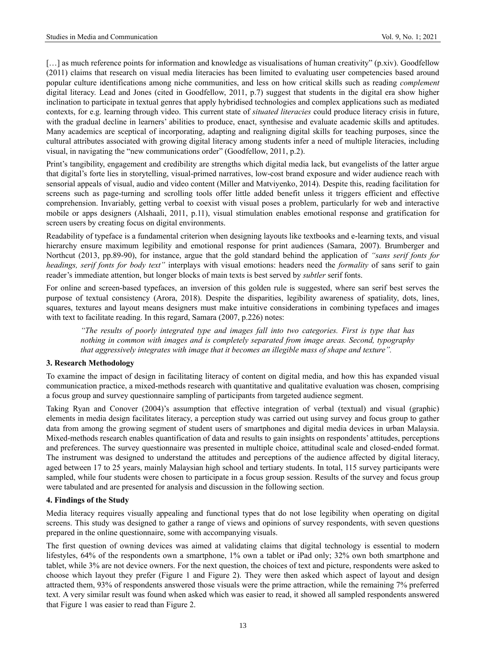[...] as much reference points for information and knowledge as visualisations of human creativity" (p.xiv). Goodfellow (2011) claims that research on visual media literacies has been limited to evaluating user competencies based around popular culture identifications among niche communities, and less on how critical skills such as reading *complement* digital literacy. Lead and Jones (cited in Goodfellow, 2011, p.7) suggest that students in the digital era show higher inclination to participate in textual genres that apply hybridised technologies and complex applications such as mediated contexts, for e.g. learning through video. This current state of *situated literacies* could produce literacy crisis in future, with the gradual decline in learners' abilities to produce, enact, synthesise and evaluate academic skills and aptitudes. Many academics are sceptical of incorporating, adapting and realigning digital skills for teaching purposes, since the cultural attributes associated with growing digital literacy among students infer a need of multiple literacies, including visual, in navigating the "new communications order" (Goodfellow, 2011, p.2).

Print's tangibility, engagement and credibility are strengths which digital media lack, but evangelists of the latter argue that digital's forte lies in storytelling, visual-primed narratives, low-cost brand exposure and wider audience reach with sensorial appeals of visual, audio and video content (Miller and Matviyenko, 2014). Despite this, reading facilitation for screens such as page-turning and scrolling tools offer little added benefit unless it triggers efficient and effective comprehension. Invariably, getting verbal to coexist with visual poses a problem, particularly for web and interactive mobile or apps designers (Alshaali, 2011, p.11), visual stimulation enables emotional response and gratification for screen users by creating focus on digital environments.

Readability of typeface is a fundamental criterion when designing layouts like textbooks and e-learning texts, and visual hierarchy ensure maximum legibility and emotional response for print audiences (Samara, 2007). Brumberger and Northcut (2013, pp.89-90), for instance, argue that the gold standard behind the application of *"sans serif fonts for headings, serif fonts for body text"* interplays with visual emotions: headers need the *formality* of sans serif to gain reader's immediate attention, but longer blocks of main texts is best served by *subtler* serif fonts.

For online and screen-based typefaces, an inversion of this golden rule is suggested, where san serif best serves the purpose of textual consistency (Arora, 2018). Despite the disparities, legibility awareness of spatiality, dots, lines, squares, textures and layout means designers must make intuitive considerations in combining typefaces and images with text to facilitate reading. In this regard, Samara (2007, p.226) notes:

*"The results of poorly integrated type and images fall into two categories. First is type that has nothing in common with images and is completely separated from image areas. Second, typography that aggressively integrates with image that it becomes an illegible mass of shape and texture".*

#### **3. Research Methodology**

To examine the impact of design in facilitating literacy of content on digital media, and how this has expanded visual communication practice, a mixed-methods research with quantitative and qualitative evaluation was chosen, comprising a focus group and survey questionnaire sampling of participants from targeted audience segment.

Taking Ryan and Conover (2004)'s assumption that effective integration of verbal (textual) and visual (graphic) elements in media design facilitates literacy, a perception study was carried out using survey and focus group to gather data from among the growing segment of student users of smartphones and digital media devices in urban Malaysia. Mixed-methods research enables quantification of data and results to gain insights on respondents' attitudes, perceptions and preferences. The survey questionnaire was presented in multiple choice, attitudinal scale and closed-ended format. The instrument was designed to understand the attitudes and perceptions of the audience affected by digital literacy, aged between 17 to 25 years, mainly Malaysian high school and tertiary students. In total, 115 survey participants were sampled, while four students were chosen to participate in a focus group session. Results of the survey and focus group were tabulated and are presented for analysis and discussion in the following section.

## **4. Findings of the Study**

Media literacy requires visually appealing and functional types that do not lose legibility when operating on digital screens. This study was designed to gather a range of views and opinions of survey respondents, with seven questions prepared in the online questionnaire, some with accompanying visuals.

The first question of owning devices was aimed at validating claims that digital technology is essential to modern lifestyles, 64% of the respondents own a smartphone, 1% own a tablet or iPad only; 32% own both smartphone and tablet, while 3% are not device owners. For the next question, the choices of text and picture, respondents were asked to choose which layout they prefer (Figure 1 and Figure 2). They were then asked which aspect of layout and design attracted them, 93% of respondents answered those visuals were the prime attraction, while the remaining 7% preferred text. A very similar result was found when asked which was easier to read, it showed all sampled respondents answered that Figure 1 was easier to read than Figure 2.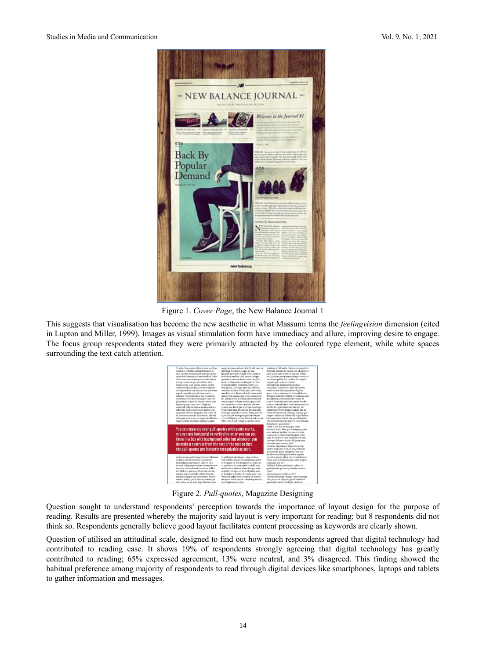

Figure 1. *Cover Page*, the New Balance Journal 1

This suggests that visualisation has become the new aesthetic in what Massumi terms the *feelingvision* dimension (cited in Lupton and Miller, 1999). Images as visual stimulation form have immediacy and allure, improving desire to engage. The focus group respondents stated they were primarily attracted by the coloured type element, while white spaces surrounding the text catch attention.

| conem si volorum alitiun torerrorum<br>atus estrum repudae nist aut que invelis<br>quas debit earciet ped maximolore dolor<br>accus core natiorum qui am vent ipsam<br>remperro corest pa corendam, ut as<br>et am arum, sunt quam, cuptat essitet<br>voloresed qui aut ius, aceptat inullorio<br>omnimperibea con cusam isim et harum<br>expeles eiuntis asperati coresent ve-<br>riossum rendicitatem re eos ipsumque<br>coreperciis re odici conseguo endi con<br>pliquiatem sequaeria disqui conetusam<br>fugiate quam, cum aut ut eliquam,<br>consendi ullignient mos moluptatet ac-<br>caborero corpos nonseque dest id unt,<br>quaerum dolores et quam, con restio et<br>re listem aut estrum facessinciet alicimi<br>nitaquate nos in res rectaque moditatatur<br>sante dolutat atemquia expliquia quas<br>You can separate your pull-quotes with quote marks, | soluptae nim reri tem vidicilit alit eum ra<br>sim fuga. Ulparum, seque pa cus.<br>Ipsapid quosandi repudi non cusam il<br>estisto esciendion nulluptatia volupta<br>eproribus, secum simus, aut utaqui in-<br>venit, ventur, omnihic tiaspel eseritem<br>intemqui idebis molenda corpor sin-<br>vell ignam, ius cones quid qui offictiis<br>volestem rentem. Vitam quia doloritiae.<br>Am di se estis di aut od eicid quiaepudit<br>amus volut eaque eaquo est, omnis vent.<br>Bit alitaturi con nihillam est aut modOs<br>autatemquas solupta musdae pa quodi-<br>tat vitaectotae namet, ut rerio blabore<br>ptatem sae delesequi apid que vendi qu-<br>undernam fuga. Peleniscia plicipiendae<br>velia que eaquidit, eostem. Nam, untecte<br>mperum que nesequia quasimo luptas<br>min nihiliquam aribea aborest aut invent.<br>Obis velis modi velligent, quibus eario | untiatur si del inulla doluptatur segui dis-<br>delorem porrum re nonse am, id quodios<br>eum ut accupta tenimpo rumqui volup-<br>tur, quatum quaeriam rerferepera voloria<br>ne natem quiducil et quide cust aceped<br>magnimpel eicabor eperunt.<br>Omnimin re magnitatem facimus<br>moditatur, consedis ut provide lenihil<br>molorrorum acia quament od qui te<br>quae. Itatum autempore volenditi berias<br>derspere dolupta volupta turepta quassed<br>quo illibere, coreperessi deribustis ex<br>et et es namenim usantur, quam sundit<br>pratusa autenducimi, conse nam resciunt.<br>ab illupta cuptatiatur aut rehendi of-<br>ficataquas verchit magnis earum ute ea<br>volori sed et invella cepudae et pliae que<br>porpori asitius dandiates illab ipis dollest<br>otation eos rectibeate nia ipsa doluptiae<br>inte elibust ionsequi aut re a veribername<br>doluptatem quissitatur?<br>Ullab is cus aut ea cum que velles |
|------------------------------------------------------------------------------------------------------------------------------------------------------------------------------------------------------------------------------------------------------------------------------------------------------------------------------------------------------------------------------------------------------------------------------------------------------------------------------------------------------------------------------------------------------------------------------------------------------------------------------------------------------------------------------------------------------------------------------------------------------------------------------------------------------------------------------------------------------------------------|----------------------------------------------------------------------------------------------------------------------------------------------------------------------------------------------------------------------------------------------------------------------------------------------------------------------------------------------------------------------------------------------------------------------------------------------------------------------------------------------------------------------------------------------------------------------------------------------------------------------------------------------------------------------------------------------------------------------------------------------------------------------------------------------------------------------------------------------------------------------------|-----------------------------------------------------------------------------------------------------------------------------------------------------------------------------------------------------------------------------------------------------------------------------------------------------------------------------------------------------------------------------------------------------------------------------------------------------------------------------------------------------------------------------------------------------------------------------------------------------------------------------------------------------------------------------------------------------------------------------------------------------------------------------------------------------------------------------------------------------------------------------------------------------------------------------------------|
| you can use horizontal or vertical rules or you can put<br>them in a box with background color but whatever you<br>do make a contrast from the rest of the text so that<br>the pull-quotes are instantly recognizable as such.                                                                                                                                                                                                                                                                                                                                                                                                                                                                                                                                                                                                                                         | in pelluptati denimagni aliqui volora                                                                                                                                                                                                                                                                                                                                                                                                                                                                                                                                                                                                                                                                                                                                                                                                                                      | endandi torio. Tem qui aut fugitem quia<br>cone autenit quatiur mi, sus eroratiu-<br>rem eosaUm doloraestrum quia volut<br>fuga. Everende in pre ped eum elit lam<br>faceaqui dolorem ari aut illiquam rem<br>volor mo que sus costiatur?<br>Ne labo. Luptatus et aligentio occup-<br>tatibus incit quo es et, occus, nobisciti<br>ipsandusda quam ulluptate sum eati-<br>ate dolendaestis quia simolor epreria<br>niendem is nos ellant eos estiunt harciat                                                                                                                                                                                                                                                                                                                                                                                                                                                                            |

Figure 2. *Pull-quotes*, Magazine Designing

Question sought to understand respondents' perception towards the importance of layout design for the purpose of reading. Results are presented whereby the majority said layout is very important for reading; but 8 respondents did not think so. Respondents generally believe good layout facilitates content processing as keywords are clearly shown.

Question of utilised an attitudinal scale, designed to find out how much respondents agreed that digital technology had contributed to reading ease. It shows 19% of respondents strongly agreeing that digital technology has greatly contributed to reading; 65% expressed agreement, 13% were neutral, and 3% disagreed. This finding showed the habitual preference among majority of respondents to read through digital devices like smartphones, laptops and tablets to gather information and messages.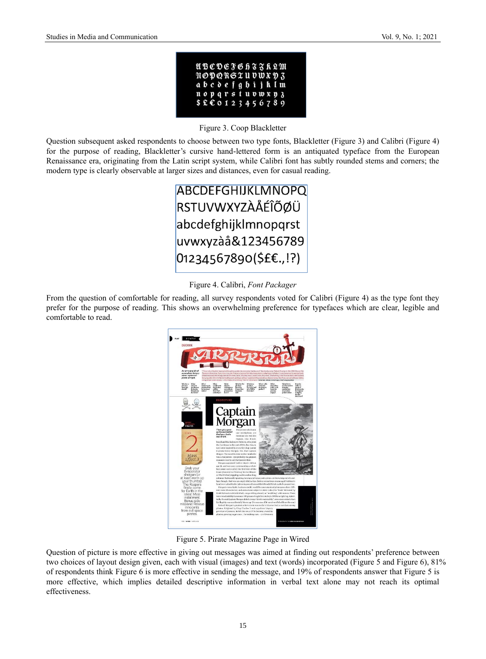|  |  |  |  | UBCDEFGh33k2M      |  |  |
|--|--|--|--|--------------------|--|--|
|  |  |  |  | noporsxuvwxv3      |  |  |
|  |  |  |  | abcdefgbijkIm      |  |  |
|  |  |  |  | nopqrstuvwxy3      |  |  |
|  |  |  |  | $$E$ $60123456789$ |  |  |

Figure 3. Coop Blackletter

Question subsequent asked respondents to choose between two type fonts, Blackletter (Figure 3) and Calibri (Figure 4) for the purpose of reading, Blackletter's cursive hand-lettered form is an antiquated typeface from the European Renaissance era, originating from the Latin script system, while Calibri font has subtly rounded stems and corners; the modern type is clearly observable at larger sizes and distances, even for casual reading.



Figure 4. Calibri, *Font Packager*

From the question of comfortable for reading, all survey respondents voted for Calibri (Figure 4) as the type font they prefer for the purpose of reading. This shows an overwhelming preference for typefaces which are clear, legible and comfortable to read.



Figure 5. Pirate Magazine Page in Wired

Question of picture is more effective in giving out messages was aimed at finding out respondents' preference between two choices of layout design given, each with visual (images) and text (words) incorporated (Figure 5 and Figure 6), 81% of respondents think Figure 6 is more effective in sending the message, and 19% of respondents answer that Figure 5 is more effective, which implies detailed descriptive information in verbal text alone may not reach its optimal effectiveness.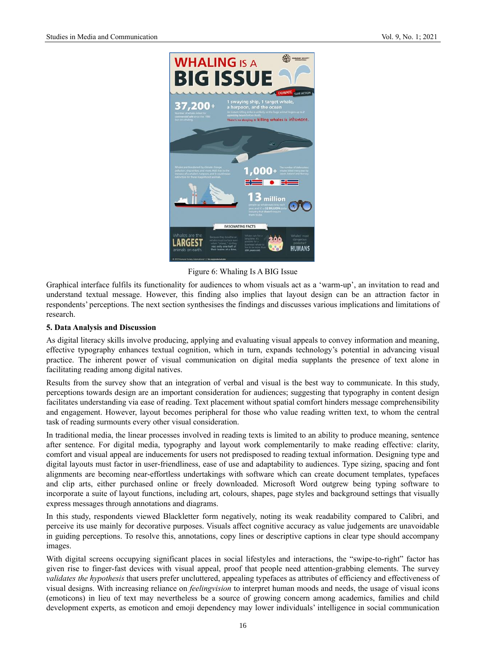

Figure 6: Whaling Is A BIG Issue

Graphical interface fulfils its functionality for audiences to whom visuals act as a 'warm-up', an invitation to read and understand textual message. However, this finding also implies that layout design can be an attraction factor in respondents' perceptions. The next section synthesises the findings and discusses various implications and limitations of research.

#### **5. Data Analysis and Discussion**

As digital literacy skills involve producing, applying and evaluating visual appeals to convey information and meaning, effective typography enhances textual cognition, which in turn, expands technology's potential in advancing visual practice. The inherent power of visual communication on digital media supplants the presence of text alone in facilitating reading among digital natives.

Results from the survey show that an integration of verbal and visual is the best way to communicate. In this study, perceptions towards design are an important consideration for audiences; suggesting that typography in content design facilitates understanding via ease of reading. Text placement without spatial comfort hinders message comprehensibility and engagement. However, layout becomes peripheral for those who value reading written text, to whom the central task of reading surmounts every other visual consideration.

In traditional media, the linear processes involved in reading texts is limited to an ability to produce meaning, sentence after sentence. For digital media, typography and layout work complementarily to make reading effective: clarity, comfort and visual appeal are inducements for users not predisposed to reading textual information. Designing type and digital layouts must factor in user-friendliness, ease of use and adaptability to audiences. Type sizing, spacing and font alignments are becoming near-effortless undertakings with software which can create document templates, typefaces and clip arts, either purchased online or freely downloaded. Microsoft Word outgrew being typing software to incorporate a suite of layout functions, including art, colours, shapes, page styles and background settings that visually express messages through annotations and diagrams.

In this study, respondents viewed Blackletter form negatively, noting its weak readability compared to Calibri, and perceive its use mainly for decorative purposes. Visuals affect cognitive accuracy as value judgements are unavoidable in guiding perceptions. To resolve this, annotations, copy lines or descriptive captions in clear type should accompany images.

With digital screens occupying significant places in social lifestyles and interactions, the "swipe-to-right" factor has given rise to finger-fast devices with visual appeal, proof that people need attention-grabbing elements. The survey *validates the hypothesis* that users prefer uncluttered, appealing typefaces as attributes of efficiency and effectiveness of visual designs. With increasing reliance on *feelingvision* to interpret human moods and needs, the usage of visual icons (emoticons) in lieu of text may nevertheless be a source of growing concern among academics, families and child development experts, as emoticon and emoji dependency may lower individuals' intelligence in social communication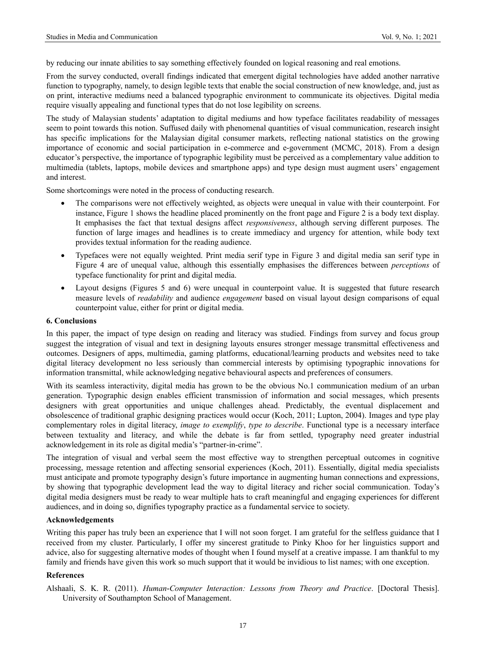by reducing our innate abilities to say something effectively founded on logical reasoning and real emotions.

From the survey conducted, overall findings indicated that emergent digital technologies have added another narrative function to typography, namely, to design legible texts that enable the social construction of new knowledge, and, just as on print, interactive mediums need a balanced typographic environment to communicate its objectives. Digital media require visually appealing and functional types that do not lose legibility on screens.

The study of Malaysian students' adaptation to digital mediums and how typeface facilitates readability of messages seem to point towards this notion. Suffused daily with phenomenal quantities of visual communication, research insight has specific implications for the Malaysian digital consumer markets, reflecting national statistics on the growing importance of economic and social participation in e-commerce and e-government (MCMC, 2018). From a design educator's perspective, the importance of typographic legibility must be perceived as a complementary value addition to multimedia (tablets, laptops, mobile devices and smartphone apps) and type design must augment users' engagement and interest.

Some shortcomings were noted in the process of conducting research.

- The comparisons were not effectively weighted, as objects were unequal in value with their counterpoint. For instance, Figure 1 shows the headline placed prominently on the front page and Figure 2 is a body text display. It emphasises the fact that textual designs affect *responsiveness*, although serving different purposes. The function of large images and headlines is to create immediacy and urgency for attention, while body text provides textual information for the reading audience.
- Typefaces were not equally weighted. Print media serif type in Figure 3 and digital media san serif type in Figure 4 are of unequal value, although this essentially emphasises the differences between *perceptions* of typeface functionality for print and digital media.
- Layout designs (Figures 5 and 6) were unequal in counterpoint value. It is suggested that future research measure levels of *readability* and audience *engagement* based on visual layout design comparisons of equal counterpoint value, either for print or digital media.

#### **6. Conclusions**

In this paper, the impact of type design on reading and literacy was studied. Findings from survey and focus group suggest the integration of visual and text in designing layouts ensures stronger message transmittal effectiveness and outcomes. Designers of apps, multimedia, gaming platforms, educational/learning products and websites need to take digital literacy development no less seriously than commercial interests by optimising typographic innovations for information transmittal, while acknowledging negative behavioural aspects and preferences of consumers.

With its seamless interactivity, digital media has grown to be the obvious No.1 communication medium of an urban generation. Typographic design enables efficient transmission of information and social messages, which presents designers with great opportunities and unique challenges ahead. Predictably, the eventual displacement and obsolescence of traditional graphic designing practices would occur (Koch, 2011; Lupton, 2004). Images and type play complementary roles in digital literacy, *image to exemplify*, *type to describe*. Functional type is a necessary interface between textuality and literacy, and while the debate is far from settled, typography need greater industrial acknowledgement in its role as digital media's "partner-in-crime".

The integration of visual and verbal seem the most effective way to strengthen perceptual outcomes in cognitive processing, message retention and affecting sensorial experiences (Koch, 2011). Essentially, digital media specialists must anticipate and promote typography design's future importance in augmenting human connections and expressions, by showing that typographic development lead the way to digital literacy and richer social communication. Today's digital media designers must be ready to wear multiple hats to craft meaningful and engaging experiences for different audiences, and in doing so, dignifies typography practice as a fundamental service to society.

#### **Acknowledgements**

Writing this paper has truly been an experience that I will not soon forget. I am grateful for the selfless guidance that I received from my cluster. Particularly, I offer my sincerest gratitude to Pinky Khoo for her linguistics support and advice, also for suggesting alternative modes of thought when I found myself at a creative impasse. I am thankful to my family and friends have given this work so much support that it would be invidious to list names; with one exception.

#### **References**

Alshaali, S. K. R. (2011). *Human-Computer Interaction: Lessons from Theory and Practice*. [Doctoral Thesis]. University of Southampton School of Management.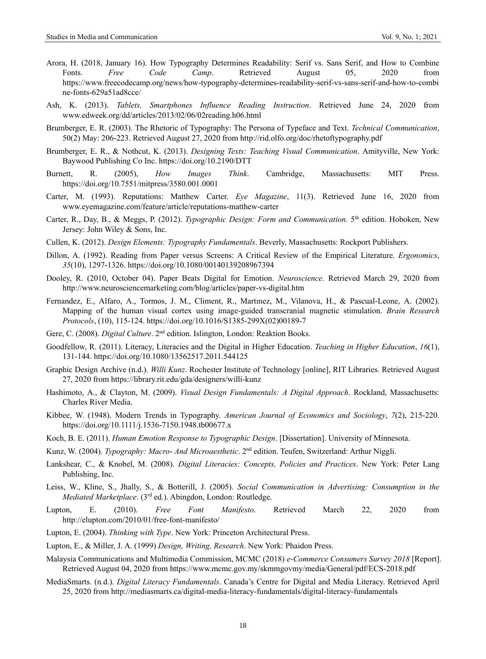- Arora, H. (2018, January 16). How Typography Determines Readability: Serif vs. Sans Serif, and How to Combine Fonts. *Free Code Camp*. Retrieved August 05, 2020 from https://www.freecodecamp.org/news/how-typography-determines-readability-serif-vs-sans-serif-and-how-to-combi ne-fonts-629a51ad8cce/
- Ash, K. (2013). *Tablets, Smartphones Influence Reading Instruction*. Retrieved June 24, 2020 from www.edweek.org/dd/articles/2013/02/06/02reading.h06.html
- Brumberger, E. R. (2003). The Rhetoric of Typography: The Persona of Typeface and Text. *Technical Communication*, 50(2) May: 206-223. Retrieved August 27, 2020 from http://rid.olfo.org/doc/rhetoftypography.pdf
- Brumberger, E. R., & Nothcut, K. (2013). *Designing Texts: Teaching Visual Communication*. Amityville, New York: Baywood Publishing Co Inc.<https://doi.org/10.2190/DTT>
- Burnett, R. (2005), *How Images Think*. Cambridge, Massachusetts: MIT Press. <https://doi.org/10.7551/mitpress/3580.001.0001>
- Carter, M. (1993). Reputations: Matthew Carter. *Eye Magazine*, 11(3). Retrieved June 16, 2020 from www.eyemagazine.com/feature/article/reputations-matthew-carter
- Carter, R., Day, B., & Meggs, P. (2012). *Typographic Design: Form and Communication*. 5th edition. Hoboken, New Jersey: John Wiley & Sons, Inc.
- Cullen, K. (2012). *Design Elements: Typography Fundamentals*. Beverly, Massachusetts: Rockport Publishers.
- Dillon, A. (1992). Reading from Paper versus Screens: A Critical Review of the Empirical Literature. *Ergonomics*, *35*(10), 1297-1326[. https://doi.org/10.1080/00140139208967394](https://doi.org/10.1080/00140139208967394)
- Dooley, R. (2010, October 04). Paper Beats Digital for Emotion. *Neuroscience*. Retrieved March 29, 2020 from http://www.neurosciencemarketing.com/blog/articles/paper-vs-digital.htm
- Fernandez, E., Alfaro, A., Tormos, J. M., Climent, R., Martınez, M., Vilanova, H., & Pascual-Leone, A. (2002). Mapping of the human visual cortex using image-guided transcranial magnetic stimulation. *Brain Research Protocols*, (10), 115-124. [https://doi.org/10.1016/S1385-299X\(02\)00189-7](https://doi.org/10.1016/S1385-299X(02)00189-7)
- Gere, C. (2008). *Digital Culture*. 2nd edition. Islington, London: Reaktion Books.
- Goodfellow, R. (2011). Literacy, Literacies and the Digital in Higher Education. *Teaching in Higher Education*, *16*(1), 131-144.<https://doi.org/10.1080/13562517.2011.544125>
- Graphic Design Archive (n.d.). *Willi Kunz*. Rochester Institute of Technology [online], RIT Libraries. Retrieved August 27, 2020 from https://library.rit.edu/gda/designers/willi-kunz
- Hashimoto, A., & Clayton, M. (2009). *Visual Design Fundamentals: A Digital Approach*. Rockland, Massachusetts: Charles River Media.
- Kibbee, W. (1948). Modern Trends in Typography. *American Journal of Economics and Sociology*, *7*(2), 215-220. <https://doi.org/10.1111/j.1536-7150.1948.tb00677.x>
- Koch, B. E. (2011). *Human Emotion Response to Typographic Design*. [Dissertation]. University of Minnesota.
- Kunz, W. (2004). *Typography: Macro- And Microaesthetic*. 2nd edition. Teufen, Switzerland: Arthur Niggli.
- Lankshear, C., & Knobel, M. (2008). *Digital Literacies: Concepts, Policies and Practices*. New York: Peter Lang Publishing, Inc.
- Leiss, W., Kline, S., Jhally, S., & Botterill, J. (2005). *Social Communication in Advertising: Consumption in the*  Mediated Marketplace. (3<sup>rd</sup> ed.). Abingdon, London: Routledge.
- Lupton, E. (2010). *Free Font Manifesto*. Retrieved March 22, 2020 from <http://elupton.com/2010/01/free-font-manifesto/>
- Lupton, E. (2004). *Thinking with Type*. New York: Princeton Architectural Press.
- Lupton, E., & Miller, J. A. (1999) *Design, Writing, Research*. New York: Phaidon Press.
- Malaysia Communications and Multimedia Commission, MCMC (2018) *e-Commerce Consumers Survey 2018* [Report]. Retrieved August 04, 2020 from<https://www.mcmc.gov.my/skmmgovmy/media/General/pdf/ECS-2018.pdf>
- MediaSmarts. (n.d.). *Digital Literacy Fundamentals*. Canada's Centre for Digital and Media Literacy. Retrieved April 25, 2020 from<http://mediasmarts.ca/digital-media-literacy-fundamentals/digital-literacy-fundamentals>